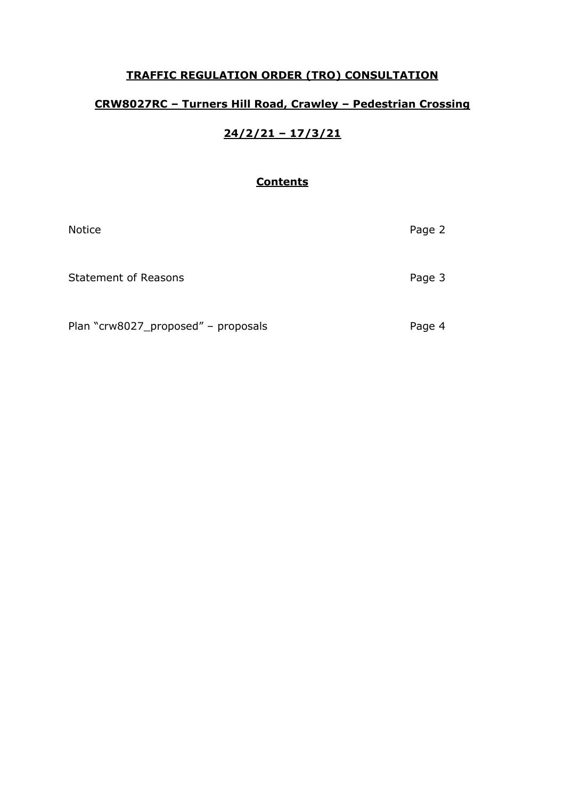## **TRAFFIC REGULATION ORDER (TRO) CONSULTATION**

# **CRW8027RC – Turners Hill Road, Crawley – Pedestrian Crossing**

# **24/2/21 – 17/3/21**

## **Contents**

| <b>Notice</b>                       | Page 2 |
|-------------------------------------|--------|
| <b>Statement of Reasons</b>         | Page 3 |
| Plan "crw8027_proposed" - proposals | Page 4 |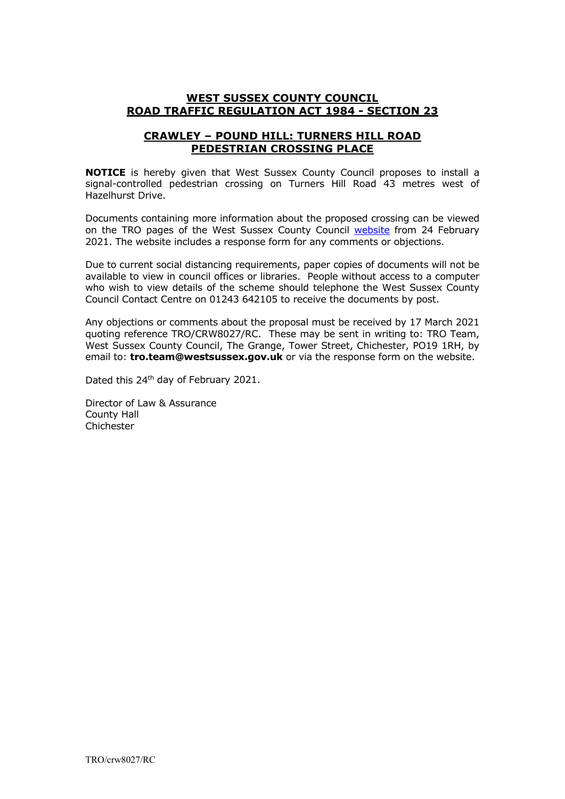#### **WEST SUSSEX COUNTY COUNCIL ROAD TRAFFIC REGULATION ACT 1984 - SECTION 23**

### **CRAWLEY – POUND HILL: TURNERS HILL ROAD PEDESTRIAN CROSSING PLACE**

**NOTICE** is hereby given that West Sussex County Council proposes to install a signal-controlled pedestrian crossing on Turners Hill Road 43 metres west of Hazelhurst Drive.

Documents containing more information about the proposed crossing can be viewed on the TRO pages of the West Sussex County Council [website](https://www.westsussex.gov.uk/roads-and-travel/traffic-regulation-orders/) from 24 February 2021. The website includes a response form for any comments or objections.

Due to current social distancing requirements, paper copies of documents will not be available to view in council offices or libraries. People without access to a computer who wish to view details of the scheme should telephone the West Sussex County Council Contact Centre on 01243 642105 to receive the documents by post.

Any objections or comments about the proposal must be received by 17 March 2021 quoting reference TRO/CRW8027/RC. These may be sent in writing to: TRO Team, West Sussex County Council, The Grange, Tower Street, Chichester, PO19 1RH, by email to: **tro.team@westsussex.gov.uk** or via the response form on the website.

Dated this 24<sup>th</sup> day of February 2021.

Director of Law & Assurance County Hall Chichester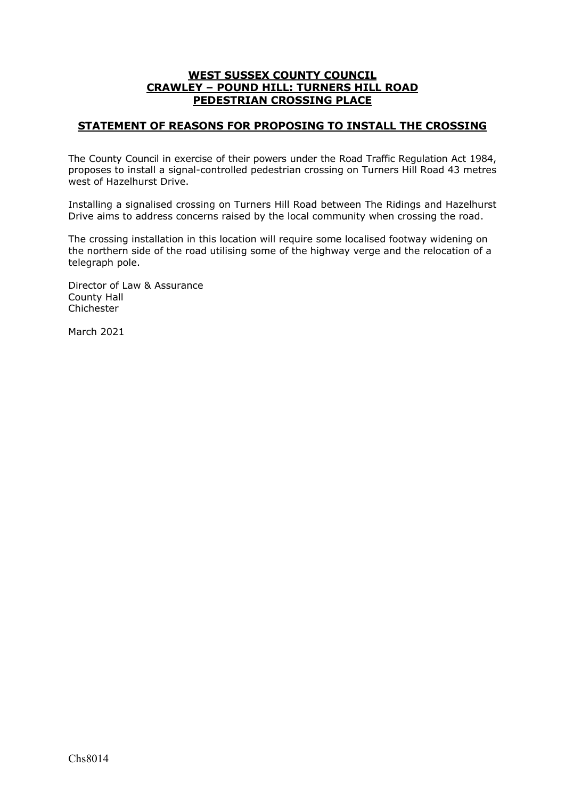#### **WEST SUSSEX COUNTY COUNCIL CRAWLEY – POUND HILL: TURNERS HILL ROAD PEDESTRIAN CROSSING PLACE**

### **STATEMENT OF REASONS FOR PROPOSING TO INSTALL THE CROSSING**

The County Council in exercise of their powers under the Road Traffic Regulation Act 1984, proposes to install a signal-controlled pedestrian crossing on Turners Hill Road 43 metres west of Hazelhurst Drive.

Installing a signalised crossing on Turners Hill Road between The Ridings and Hazelhurst Drive aims to address concerns raised by the local community when crossing the road.

The crossing installation in this location will require some localised footway widening on the northern side of the road utilising some of the highway verge and the relocation of a telegraph pole.

Director of Law & Assurance County Hall Chichester

March 2021